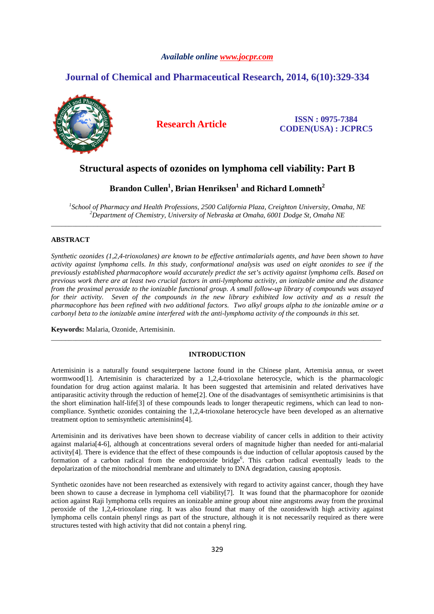#### *Available online www.jocpr.com*

# **Journal of Chemical and Pharmaceutical Research, 2014, 6(10):329-334**



**Research Article ISSN : 0975-7384 CODEN(USA) : JCPRC5**

## **Structural aspects of ozonides on lymphoma cell viability: Part B**

# **Brandon Cullen<sup>1</sup> , Brian Henriksen<sup>1</sup> and Richard Lomneth<sup>2</sup>**

*1 School of Pharmacy and Health Professions, 2500 California Plaza, Creighton University, Omaha, NE <sup>2</sup>Department of Chemistry, University of Nebraska at Omaha, 6001 Dodge St, Omaha NE* \_\_\_\_\_\_\_\_\_\_\_\_\_\_\_\_\_\_\_\_\_\_\_\_\_\_\_\_\_\_\_\_\_\_\_\_\_\_\_\_\_\_\_\_\_\_\_\_\_\_\_\_\_\_\_\_\_\_\_\_\_\_\_\_\_\_\_\_\_\_\_\_\_\_\_\_\_\_\_\_\_\_\_\_\_\_\_\_\_\_\_\_\_

### **ABSTRACT**

*Synthetic ozonides (1,2,4-trioxolanes) are known to be effective antimalarials agents, and have been shown to have activity against lymphoma cells. In this study, conformational analysis was used on eight ozonides to see if the previously established pharmacophore would accurately predict the set's activity against lymphoma cells. Based on previous work there are at least two crucial factors in anti-lymphoma activity, an ionizable amine and the distance from the proximal peroxide to the ionizable functional group. A small follow-up library of compounds was assayed for their activity. Seven of the compounds in the new library exhibited low activity and as a result the pharmacophore has been refined with two additional factors. Two alkyl groups alpha to the ionizable amine or a carbonyl beta to the ionizable amine interfered with the anti-lymphoma activity of the compounds in this set.* 

**Keywords:** Malaria, Ozonide, Artemisinin.

#### **INTRODUCTION**

\_\_\_\_\_\_\_\_\_\_\_\_\_\_\_\_\_\_\_\_\_\_\_\_\_\_\_\_\_\_\_\_\_\_\_\_\_\_\_\_\_\_\_\_\_\_\_\_\_\_\_\_\_\_\_\_\_\_\_\_\_\_\_\_\_\_\_\_\_\_\_\_\_\_\_\_\_\_\_\_\_\_\_\_\_\_\_\_\_\_\_\_\_

Artemisinin is a naturally found sesquiterpene lactone found in the Chinese plant, Artemisia annua, or sweet wormwood[1]. Artemisinin is characterized by a 1,2,4-trioxolane heterocycle, which is the pharmacologic foundation for drug action against malaria. It has been suggested that artemisinin and related derivatives have antiparasitic activity through the reduction of heme[2]. One of the disadvantages of semisynthetic artimisinins is that the short elimination half-life[3] of these compounds leads to longer therapeutic regimens, which can lead to noncompliance. Synthetic ozonides containing the 1,2,4-trioxolane heterocycle have been developed as an alternative treatment option to semisynthetic artemisinins[4].

Artemisinin and its derivatives have been shown to decrease viability of cancer cells in addition to their activity against malaria[4-6], although at concentrations several orders of magnitude higher than needed for anti-malarial activity[4]. There is evidence that the effect of these compounds is due induction of cellular apoptosis caused by the formation of a carbon radical from the endoperoxide bridge<sup>6</sup>. This carbon radical eventually leads to the depolarization of the mitochondrial membrane and ultimately to DNA degradation, causing apoptosis.

Synthetic ozonides have not been researched as extensively with regard to activity against cancer, though they have been shown to cause a decrease in lymphoma cell viability[7]. It was found that the pharmacophore for ozonide action against Raji lymphoma cells requires an ionizable amine group about nine angstroms away from the proximal peroxide of the 1,2,4-trioxolane ring. It was also found that many of the ozonideswith high activity against lymphoma cells contain phenyl rings as part of the structure, although it is not necessarily required as there were structures tested with high activity that did not contain a phenyl ring.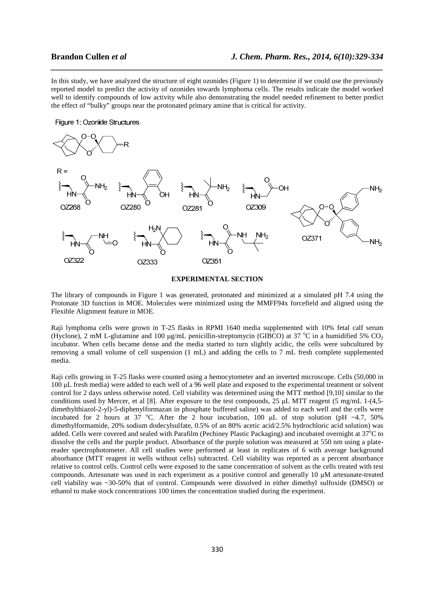In this study, we have analyzed the structure of eight ozonides (Figure 1) to determine if we could use the previously reported model to predict the activity of ozonides towards lymphoma cells. The results indicate the model worked well to identify compounds of low activity while also demonstrating the model needed refinement to better predict the effect of "bulky" groups near the protonated primary amine that is critical for activity.

*\_\_\_\_\_\_\_\_\_\_\_\_\_\_\_\_\_\_\_\_\_\_\_\_\_\_\_\_\_\_\_\_\_\_\_\_\_\_\_\_\_\_\_\_\_\_\_\_\_\_\_\_\_\_\_\_\_\_\_\_\_\_\_\_\_\_\_\_\_\_\_\_\_\_\_\_\_\_*

#### Figure 1: Ozonide Structures



#### **EXPERIMENTAL SECTION**

The library of compounds in Figure 1 was generated, protonated and minimized at a simulated pH 7.4 using the Protonate 3D function in MOE. Molecules were minimized using the MMFF94x forcefield and aligned using the Flexible Alignment feature in MOE.

Raji lymphoma cells were grown in T-25 flasks in RPMI 1640 media supplemented with 10% fetal calf serum (Hyclone), 2 mM L-glutamine and 100  $\mu$ g/mL penicillin-streptomycin (GIBCO) at 37 °C in a humidified 5% CO<sub>2</sub> incubator. When cells became dense and the media started to turn slightly acidic, the cells were subcultured by removing a small volume of cell suspension (1 mL) and adding the cells to 7 mL fresh complete supplemented media.

Raji cells growing in T-25 flasks were counted using a hemocytometer and an inverted microscope. Cells (50,000 in 100 µL fresh media) were added to each well of a 96 well plate and exposed to the experimental treatment or solvent control for 2 days unless otherwise noted. Cell viability was determined using the MTT method [9,10] similar to the conditions used by Mercer, et al [8]. After exposure to the test compounds, 25 µL MTT reagent (5 mg/mL 1-(4,5 dimethylthiazol-2-yl)-5-diphenylformazan in phosphate buffered saline) was added to each well and the cells were incubated for 2 hours at 37 °C. After the 2 hour incubation, 100  $\mu$ L of stop solution (pH ~4.7, 50%) dimethylformamide, 20% sodium dodecylsulfate, 0.5% of an 80% acetic acid/2.5% hydrochloric acid solution) was added. Cells were covered and sealed with Parafilm (Pechiney Plastic Packaging) and incubated overnight at 37<sup>o</sup>C to dissolve the cells and the purple product. Absorbance of the purple solution was measured at 550 nm using a platereader spectrophotometer. All cell studies were performed at least in replicates of 6 with average background absorbance (MTT reagent in wells without cells) subtracted. Cell viability was reported as a percent absorbance relative to control cells. Control cells were exposed to the same concentration of solvent as the cells treated with test compounds. Artesunate was used in each experiment as a positive control and generally 10 µM artesunate-treated cell viability was ~30-50% that of control. Compounds were dissolved in either dimethyl sulfoxide (DMSO) or ethanol to make stock concentrations 100 times the concentration studied during the experiment.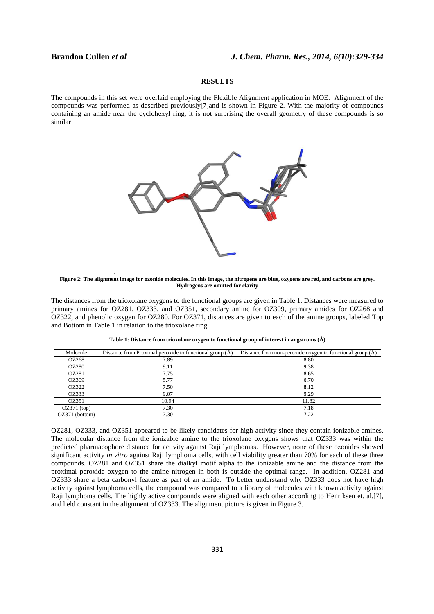## **Brandon Cullen** *et al*

.

#### **RESULTS**

*\_\_\_\_\_\_\_\_\_\_\_\_\_\_\_\_\_\_\_\_\_\_\_\_\_\_\_\_\_\_\_\_\_\_\_\_\_\_\_\_\_\_\_\_\_\_\_\_\_\_\_\_\_\_\_\_\_\_\_\_\_\_\_\_\_\_\_\_\_\_\_\_\_\_\_\_\_\_*

The compounds in this set were overlaid employing the Flexible Alignment application in MOE. Alignment of the compounds was performed as described previously[7]and is shown in Figure 2. With the majority of compounds containing an amide near the cyclohexyl ring, it is not surprising the overall geometry of these compounds is so similar



#### **Figure 2: The alignment image for ozonide molecules. In this image, the nitrogens are blue, oxygens are red, and carbons are grey. Hydrogens are omitted for clarity**

The distances from the trioxolane oxygens to the functional groups are given in Table 1. Distances were measured to The distances from the trioxolane oxygens to the functional groups are given in Table 1. Distances were measured to<br>primary amines for OZ281, OZ333, and OZ351, secondary amine for OZ309, primary amides for OZ268 and<br>OZ322, OZ322, and phenolic oxygen for OZ280. For OZ371, distances are given to each of the amine groups, labeled Top OZ371, and Bottom in Table 1 in relation to the trioxolane ring.

| Molecule       | Distance from Proximal peroxide to functional group (A) | Distance from non-peroxide oxygen to functional group $(A)$ |
|----------------|---------------------------------------------------------|-------------------------------------------------------------|
| OZ268          | 7.89                                                    | 8.80                                                        |
| <b>OZ280</b>   | 9.11                                                    | 9.38                                                        |
| OZ281          | 7.75                                                    | 8.65                                                        |
| OZ309          | 5.77                                                    | 6.70                                                        |
| OZ322          | 7.50                                                    | 8.12                                                        |
| OZ333          | 9.07                                                    | 9.29                                                        |
| OZ351          | 10.94                                                   | 11.82                                                       |
| $OZ371$ (top)  | 7.30                                                    | 7.18                                                        |
| OZ371 (bottom) | 7.30                                                    | 7.22                                                        |

Table 1: Distance from trioxolane oxygen to functional group of interest in angstroms (Å)

OZ281, OZ333, and OZ351 appeared to be likely candidates for high activity since they contain ionizable amines. The molecular distance from the ionizable amine to the trioxolane oxygens shows that OZ333 was within the predicted pharmacophore distance for activity against Raji lymphomas. However, none of these ozonides showed significant activity *in vitro* against Raji lymphoma cells, with cell viability greater than 70% for each of these three significant activity *in vitro* against Raji lymphoma cells, with cell viability greater than 70% for each of these three<br>compounds. OZ281 and OZ351 share the dialkyl motif alpha to the ionizable amine and the distance fro proximal peroxide oxygen to the amine nitrogen in both is outside the optimal range. In addition, OZ281 and OZ333 share a beta carbonyl feature as part of an amide. To better understand why OZ333 does not have high activity against lymphoma cells, the compound was compared to a library of molecules with known activity against Raji lymphoma cells. The highly active compounds were aligned with each other according to Henriksen et. al.[7], and held constant in the alignment of OZ333. The alignment picture is given in Figure 3. **J. Chem. Pharm. Res., 2014, 6(10):329-334**<br>
TIS<br>
Sible Aligament application in MOE. Aligament of the<br>
shown in Figure 2. With the majority of compounds is so<br>
shown in Figure 2. With the majority of compounds is so<br>
the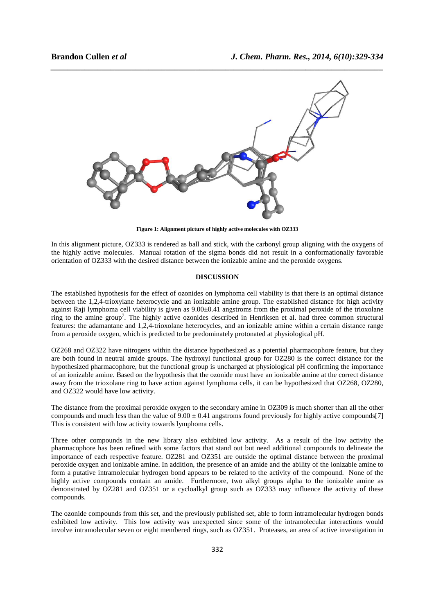

**Figure 1: Alignment picture of highly active molecules with OZ333** 

In this alignment picture, OZ333 is rendered as ball and stick, with the carbonyl group aligning with the oxygens of the highly active molecules. Manual rotation of the sigma bonds did not result in a conformationally favorable orientation of OZ333 with the desired distance between the ionizable amine and the peroxide oxygens. Ext, with the carbonyl group aligning with the oxygens of<br>the bonds did not result in a conformationally favorable<br>ionizable amine and the peroxide oxygens.<br>**SION**<br>mphoma cell viability is that there is an optimal distance

## **DISCUSSION**

The established hypothesis for the effect of ozonides on lymphoma cell viability is that there is an optimal between the 1,2,4-trioxylane heterocycle and an ionizable amine group. The established distance for high activity against Raji lymphoma cell viability is given as  $9.00\pm0.41$  angstroms from the proximal peroxide of the trioxolane between the 1,2,4-trioxylane heterocycle and an ionizable amine group. The established distance for high activity against Raji lymphoma cell viability is given as 9.00±0.41 angstroms from the proximal peroxide of the triox features: the adamantane and 1,2,4-trioxolane heterocycles, and an ionizable amine within a certain distance range from a peroxide oxygen, which is predicted to be be predominately protonated at physiological pH. features: the adamantane and 1,2,4-trioxolane heterocycles, and an ionizable amine within a certain distance range<br>from a peroxide oxygen, which is predicted to be predominately protonated at physiological pH.<br>OZ268 and OZ

OZ268 and OZ322 have nitrogens within the distance hypothesized as a potential pharmacophore feature, but they<br>are both found in neutral amide groups. The hydroxyl functional group for OZ280 is the correct distance for the hypothesized pharmacophore, but the functional group is uncharged at physiological pH confirming the importance of an ionizable amine. Based on the hypothesis that the ozonide must have an ionizable amine at the correct distance of an ionizable amine. Based on the hypothesis that the ozonide must have an ionizable amine at the correct distance<br>away from the trioxolane ring to have action against lymphoma cells, it can be hypothesized that OZ268, O and OZ322 would have low activity. cells, it can be hypothesized that OZ268, OZ280,<br>amine in OZ309 is much shorter than all the other<br>s found previously for highly active compounds[7]

The distance from the proximal peroxide oxygen to the secondary amine in OZ309 is much shorter than all the other compounds and much less than the value of  $9.00 \pm 0.41$  angstroms found previously for highly active compounds This is consistent with low activity towards lymphoma cells.

Three other compounds in the new library also exhibited low activity. As a result of the low activity the pharmacophore has been refined with some factors that stand out but need additional compounds to delineate the importance of each respective feature. OZ281 and OZ351 are outside the optimal distance between the proximal peroxide oxygen and ionizable amine. In addition, the presence of an amide and the ability of the ionizable amine to form a putative intramolecular hydrogen bond appears to be related to the activity of the highly active compounds contain an amide. Furthermore, two alkyl groups alpha to the ionizable amine as demonstrated by OZ281 and OZ351 or a cycloalkyl group such as OZ333 may influence the activity of these compounds. he optimal distance between the proximal<br>de and the ability of the ionizable amine to<br>he activity of the compound. None of the

The ozonide compounds from this set, and the previously published set, able to form intramolecular hydrogen bonds exhibited low activity. This low activity was unexpected since some of the intramolecular interactions would exhibited low activity. This low activity was unexpected since some of the intramolecular interactions would involve intramolecular seven or eight membered rings, such as OZ351. Proteases, an area of active investigation i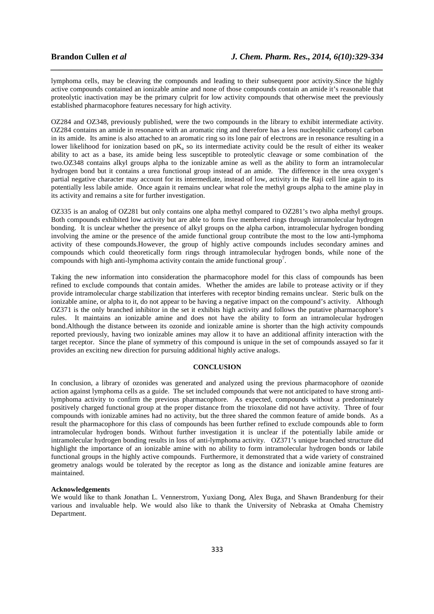lymphoma cells, may be cleaving the compounds and leading to their subsequent poor activity.Since the highly active compounds contained an ionizable amine and none of those compounds contain an amide it's reasonable that proteolytic inactivation may be the primary culprit for low activity compounds that otherwise meet the previously established pharmacophore features necessary for high activity.

*\_\_\_\_\_\_\_\_\_\_\_\_\_\_\_\_\_\_\_\_\_\_\_\_\_\_\_\_\_\_\_\_\_\_\_\_\_\_\_\_\_\_\_\_\_\_\_\_\_\_\_\_\_\_\_\_\_\_\_\_\_\_\_\_\_\_\_\_\_\_\_\_\_\_\_\_\_\_*

OZ284 and OZ348, previously published, were the two compounds in the library to exhibit intermediate activity. OZ284 contains an amide in resonance with an aromatic ring and therefore has a less nucleophilic carbonyl carbon in its amide. Its amine is also attached to an aromatic ring so its lone pair of electrons are in resonance resulting in a lower likelihood for ionization based on  $pK_a$  so its intermediate activity could be the result of either its weaker ability to act as a base, its amide being less susceptible to proteolytic cleavage or some combination of the two.OZ348 contains alkyl groups alpha to the ionizable amine as well as the ability to form an intramolecular hydrogen bond but it contains a urea functional group instead of an amide. The difference in the urea oxygen's partial negative character may account for its intermediate, instead of low, activity in the Raji cell line again to its potentially less labile amide. Once again it remains unclear what role the methyl groups alpha to the amine play in its activity and remains a site for further investigation.

OZ335 is an analog of OZ281 but only contains one alpha methyl compared to OZ281's two alpha methyl groups. Both compounds exhibited low activity but are able to form five membered rings through intramolecular hydrogen bonding. It is unclear whether the presence of alkyl groups on the alpha carbon, intramolecular hydrogen bonding involving the amine or the presence of the amide functional group contribute the most to the low anti-lymphoma activity of these compounds.However, the group of highly active compounds includes secondary amines and compounds which could theoretically form rings through intramolecular hydrogen bonds, while none of the compounds with high anti-lymphoma activity contain the amide functional group<sup>7</sup>.

Taking the new information into consideration the pharmacophore model for this class of compounds has been refined to exclude compounds that contain amides. Whether the amides are labile to protease activity or if they provide intramolecular charge stabilization that interferes with receptor binding remains unclear. Steric bulk on the ionizable amine, or alpha to it, do not appear to be having a negative impact on the compound's activity. Although OZ371 is the only branched inhibitor in the set it exhibits high activity and follows the putative pharmacophore's rules. It maintains an ionizable amine and does not have the ability to form an intramolecular hydrogen bond.Although the distance between its ozonide and ionizable amine is shorter than the high activity compounds reported previously, having two ionizable amines may allow it to have an additional affinity interaction with the target receptor. Since the plane of symmetry of this compound is unique in the set of compounds assayed so far it provides an exciting new direction for pursuing additional highly active analogs.

#### **CONCLUSION**

In conclusion, a library of ozonides was generated and analyzed using the previous pharmacophore of ozonide action against lymphoma cells as a guide. The set included compounds that were not anticipated to have strong antilymphoma activity to confirm the previous pharmacophore. As expected, compounds without a predominately positively charged functional group at the proper distance from the trioxolane did not have activity. Three of four compounds with ionizable amines had no activity, but the three shared the common feature of amide bonds. As a result the pharmacophore for this class of compounds has been further refined to exclude compounds able to form intramolecular hydrogen bonds. Without further investigation it is unclear if the potentially labile amide or intramolecular hydrogen bonding results in loss of anti-lymphoma activity. OZ371's unique branched structure did highlight the importance of an ionizable amine with no ability to form intramolecular hydrogen bonds or labile functional groups in the highly active compounds. Furthermore, it demonstrated that a wide variety of constrained geometry analogs would be tolerated by the receptor as long as the distance and ionizable amine features are maintained.

#### **Acknowledgements**

We would like to thank Jonathan L. Vennerstrom, Yuxiang Dong, Alex Buga, and Shawn Brandenburg for their various and invaluable help. We would also like to thank the University of Nebraska at Omaha Chemistry Department.